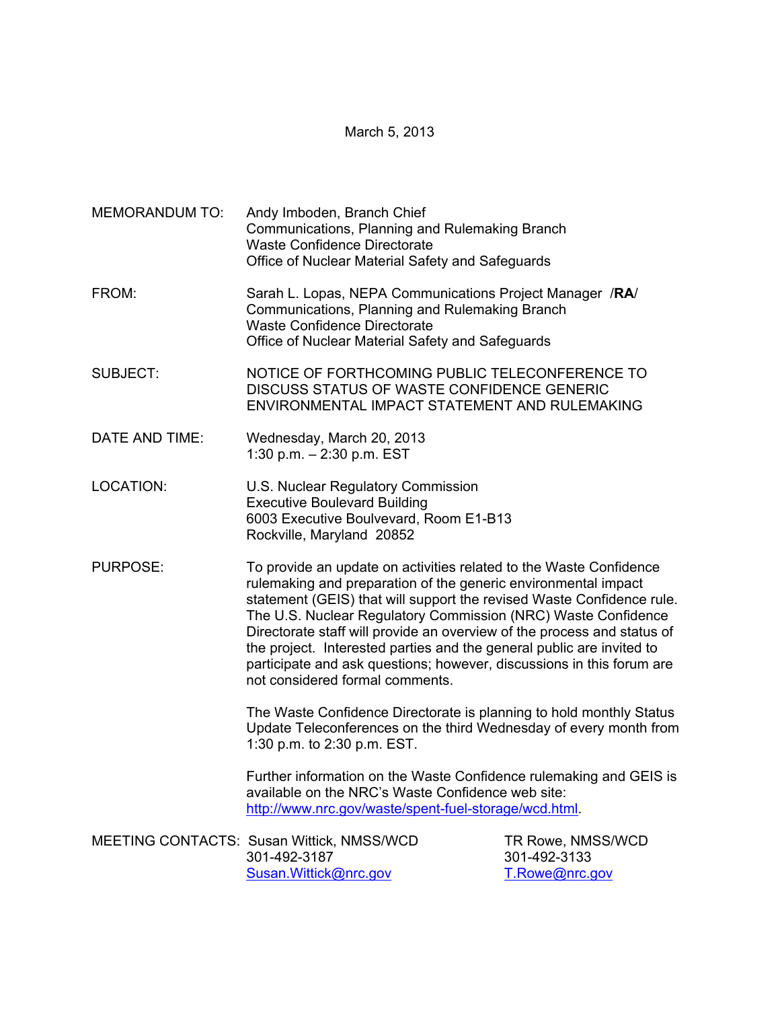## March 5, 2013

| <b>MEMORANDUM TO:</b> | Andy Imboden, Branch Chief<br>Communications, Planning and Rulemaking Branch<br><b>Waste Confidence Directorate</b><br>Office of Nuclear Material Safety and Safeguards                                                                                                                                                                                                                                                                                                                                                                        |                                                     |  |
|-----------------------|------------------------------------------------------------------------------------------------------------------------------------------------------------------------------------------------------------------------------------------------------------------------------------------------------------------------------------------------------------------------------------------------------------------------------------------------------------------------------------------------------------------------------------------------|-----------------------------------------------------|--|
| FROM:                 | Sarah L. Lopas, NEPA Communications Project Manager /RA/<br>Communications, Planning and Rulemaking Branch<br><b>Waste Confidence Directorate</b><br>Office of Nuclear Material Safety and Safeguards                                                                                                                                                                                                                                                                                                                                          |                                                     |  |
| <b>SUBJECT:</b>       | NOTICE OF FORTHCOMING PUBLIC TELECONFERENCE TO<br>DISCUSS STATUS OF WASTE CONFIDENCE GENERIC<br>ENVIRONMENTAL IMPACT STATEMENT AND RULEMAKING                                                                                                                                                                                                                                                                                                                                                                                                  |                                                     |  |
| DATE AND TIME:        | Wednesday, March 20, 2013<br>1:30 p.m. $-$ 2:30 p.m. EST                                                                                                                                                                                                                                                                                                                                                                                                                                                                                       |                                                     |  |
| LOCATION:             | U.S. Nuclear Regulatory Commission<br><b>Executive Boulevard Building</b><br>6003 Executive Boulvevard, Room E1-B13<br>Rockville, Maryland 20852                                                                                                                                                                                                                                                                                                                                                                                               |                                                     |  |
| PURPOSE:              | To provide an update on activities related to the Waste Confidence<br>rulemaking and preparation of the generic environmental impact<br>statement (GEIS) that will support the revised Waste Confidence rule.<br>The U.S. Nuclear Regulatory Commission (NRC) Waste Confidence<br>Directorate staff will provide an overview of the process and status of<br>the project. Interested parties and the general public are invited to<br>participate and ask questions; however, discussions in this forum are<br>not considered formal comments. |                                                     |  |
|                       | The Waste Confidence Directorate is planning to hold monthly Status<br>Update Teleconferences on the third Wednesday of every month from                                                                                                                                                                                                                                                                                                                                                                                                       |                                                     |  |
|                       | Further information on the Waste Confidence rulemaking and GEIS is<br>available on the NRC's Waste Confidence web site:<br>http://www.nrc.gov/waste/spent-fuel-storage/wcd.html.                                                                                                                                                                                                                                                                                                                                                               |                                                     |  |
|                       | MEETING CONTACTS: Susan Wittick, NMSS/WCD<br>301-492-3187<br>Susan. Wittick@nrc.gov                                                                                                                                                                                                                                                                                                                                                                                                                                                            | TR Rowe, NMSS/WCD<br>301-492-3133<br>T.Rowe@nrc.gov |  |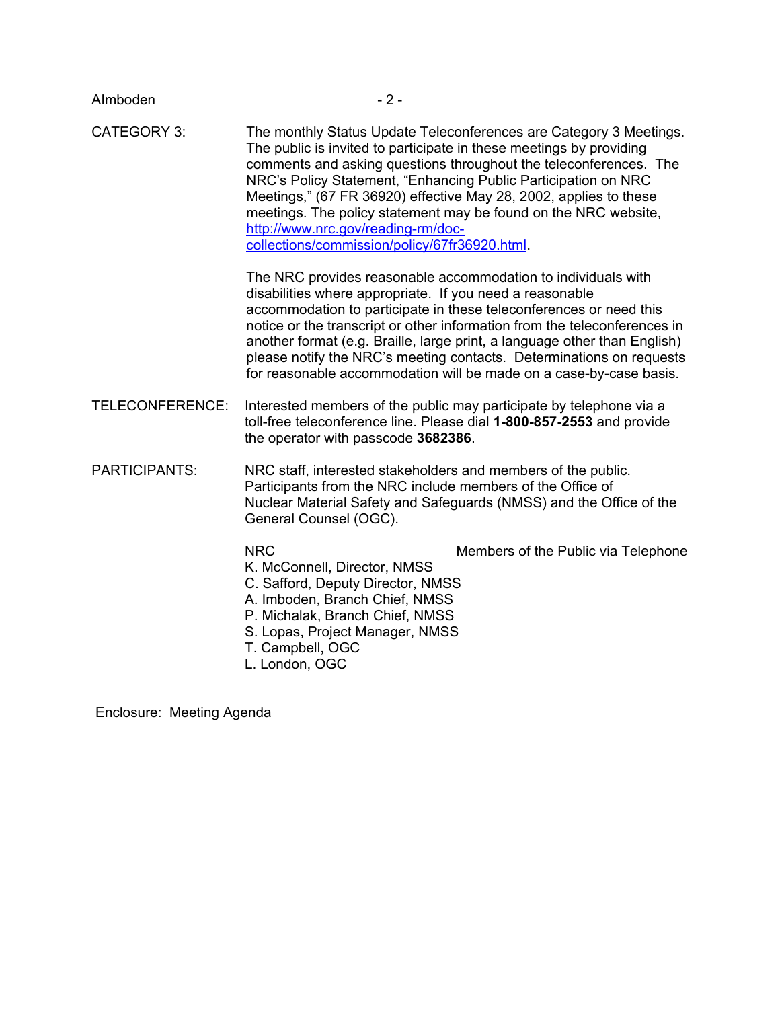| Almboden             | $-2-$                                                                                                                                                                                                                                                                                                                                                                                                                                                                                                           |  |  |
|----------------------|-----------------------------------------------------------------------------------------------------------------------------------------------------------------------------------------------------------------------------------------------------------------------------------------------------------------------------------------------------------------------------------------------------------------------------------------------------------------------------------------------------------------|--|--|
| <b>CATEGORY 3:</b>   | The monthly Status Update Teleconferences are Category 3 Meetings.<br>The public is invited to participate in these meetings by providing<br>comments and asking questions throughout the teleconferences. The<br>NRC's Policy Statement, "Enhancing Public Participation on NRC<br>Meetings," (67 FR 36920) effective May 28, 2002, applies to these<br>meetings. The policy statement may be found on the NRC website,<br>http://www.nrc.gov/reading-rm/doc-<br>collections/commission/policy/67fr36920.html. |  |  |
|                      | The NRC provides reasonable accommodation to individuals with<br>disabilities where appropriate. If you need a reasonable<br>accommodation to participate in these teleconferences or need this<br>notice or the transcript or other information from the teleconferences in<br>another format (e.g. Braille, large print, a language other than English)<br>please notify the NRC's meeting contacts. Determinations on requests<br>for reasonable accommodation will be made on a case-by-case basis.         |  |  |
| TELECONFERENCE:      | Interested members of the public may participate by telephone via a<br>toll-free teleconference line. Please dial 1-800-857-2553 and provide<br>the operator with passcode 3682386.                                                                                                                                                                                                                                                                                                                             |  |  |
| <b>PARTICIPANTS:</b> | NRC staff, interested stakeholders and members of the public.<br>Participants from the NRC include members of the Office of<br>Nuclear Material Safety and Safeguards (NMSS) and the Office of the<br>General Counsel (OGC).                                                                                                                                                                                                                                                                                    |  |  |
|                      | <b>NRC</b><br>Members of the Public via Telephone<br>K. McConnell, Director, NMSS<br>C. Safford, Deputy Director, NMSS<br>A. Imboden, Branch Chief, NMSS<br>P. Michalak, Branch Chief, NMSS<br>S. Lopas, Project Manager, NMSS<br>T. Campbell, OGC<br>L. London, OGC                                                                                                                                                                                                                                            |  |  |

Enclosure: Meeting Agenda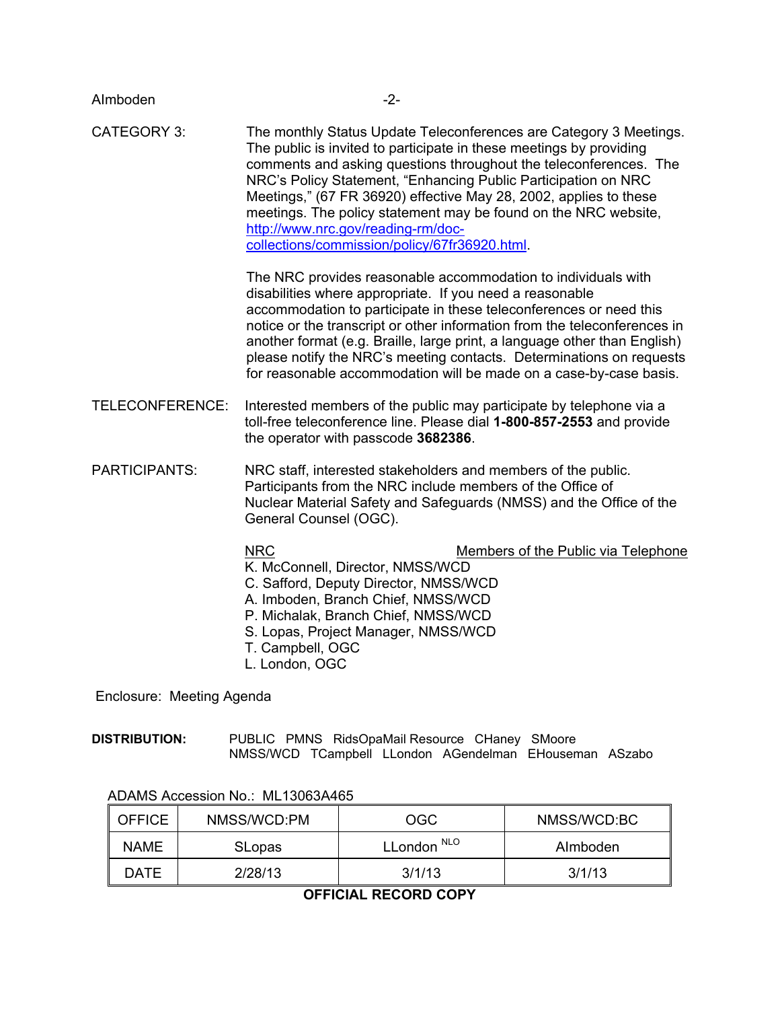| Almboden             | $-2-$                                                                                                                                                                                                                                                                                                                                                                                                                                                                                                           |  |
|----------------------|-----------------------------------------------------------------------------------------------------------------------------------------------------------------------------------------------------------------------------------------------------------------------------------------------------------------------------------------------------------------------------------------------------------------------------------------------------------------------------------------------------------------|--|
| <b>CATEGORY 3:</b>   | The monthly Status Update Teleconferences are Category 3 Meetings.<br>The public is invited to participate in these meetings by providing<br>comments and asking questions throughout the teleconferences. The<br>NRC's Policy Statement, "Enhancing Public Participation on NRC<br>Meetings," (67 FR 36920) effective May 28, 2002, applies to these<br>meetings. The policy statement may be found on the NRC website,<br>http://www.nrc.gov/reading-rm/doc-<br>collections/commission/policy/67fr36920.html. |  |
|                      | The NRC provides reasonable accommodation to individuals with<br>disabilities where appropriate. If you need a reasonable<br>accommodation to participate in these teleconferences or need this<br>notice or the transcript or other information from the teleconferences in<br>another format (e.g. Braille, large print, a language other than English)<br>please notify the NRC's meeting contacts. Determinations on requests<br>for reasonable accommodation will be made on a case-by-case basis.         |  |
| TELECONFERENCE:      | Interested members of the public may participate by telephone via a<br>toll-free teleconference line. Please dial 1-800-857-2553 and provide<br>the operator with passcode 3682386.                                                                                                                                                                                                                                                                                                                             |  |
| <b>PARTICIPANTS:</b> | NRC staff, interested stakeholders and members of the public.<br>Participants from the NRC include members of the Office of<br>Nuclear Material Safety and Safeguards (NMSS) and the Office of the<br>General Counsel (OGC).                                                                                                                                                                                                                                                                                    |  |
|                      | <b>NRC</b><br><b>Members of the Public via Telephone</b><br>K. McConnell, Director, NMSS/WCD<br>C. Safford, Deputy Director, NMSS/WCD<br>A. Imboden, Branch Chief, NMSS/WCD<br>P. Michalak, Branch Chief, NMSS/WCD<br>S. Lopas, Project Manager, NMSS/WCD<br>T. Campbell, OGC<br>L. London, OGC                                                                                                                                                                                                                 |  |

Enclosure: Meeting Agenda

**DISTRIBUTION:** PUBLIC PMNS RidsOpaMail Resource CHaney SMoore NMSS/WCD TCampbell LLondon AGendelman EHouseman ASzabo

| <b>OFFICE</b> | NMSS/WCD:PM   | OGC                    | NMSS/WCD:BC |
|---------------|---------------|------------------------|-------------|
| <b>NAME</b>   | <b>SLopas</b> | LLondon <sup>NLO</sup> | Almboden    |
| DATE          | 2/28/13       | 3/1/13                 | 3/1/13      |

## ADAMS Accession No.: ML13063A465

## **OFFICIAL RECORD COPY**